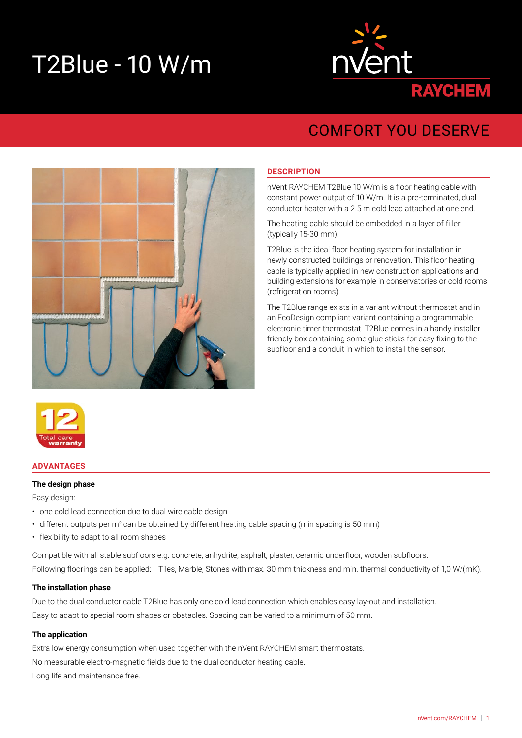# T2Blue - 10 W/m



# COMFORT YOU DESERVE



# **DESCRIPTION**

nVent RAYCHEM T2Blue 10 W/m is a floor heating cable with constant power output of 10 W/m. It is a pre-terminated, dual conductor heater with a 2.5 m cold lead attached at one end.

The heating cable should be embedded in a layer of filler (typically 15-30 mm).

T2Blue is the ideal floor heating system for installation in newly constructed buildings or renovation. This floor heating cable is typically applied in new construction applications and building extensions for example in conservatories or cold rooms (refrigeration rooms).

The T2Blue range exists in a variant without thermostat and in an EcoDesign compliant variant containing a programmable electronic timer thermostat. T2Blue comes in a handy installer friendly box containing some glue sticks for easy fixing to the subfloor and a conduit in which to install the sensor.



## **ADVANTAGES**

#### **The design phase**

Easy design:

- one cold lead connection due to dual wire cable design
- $\bm{\cdot}\,$  different outputs per m $^2$  can be obtained by different heating cable spacing (min spacing is 50 mm)
- flexibility to adapt to all room shapes

Compatible with all stable subfloors e.g. concrete, anhydrite, asphalt, plaster, ceramic underfloor, wooden subfloors. Following floorings can be applied: Tiles, Marble, Stones with max. 30 mm thickness and min. thermal conductivity of 1,0 W/(mK).

#### **The installation phase**

Due to the dual conductor cable T2Blue has only one cold lead connection which enables easy lay-out and installation. Easy to adapt to special room shapes or obstacles. Spacing can be varied to a minimum of 50 mm.

## **The application**

Extra low energy consumption when used together with the nVent RAYCHEM smart thermostats. No measurable electro-magnetic fields due to the dual conductor heating cable. Long life and maintenance free.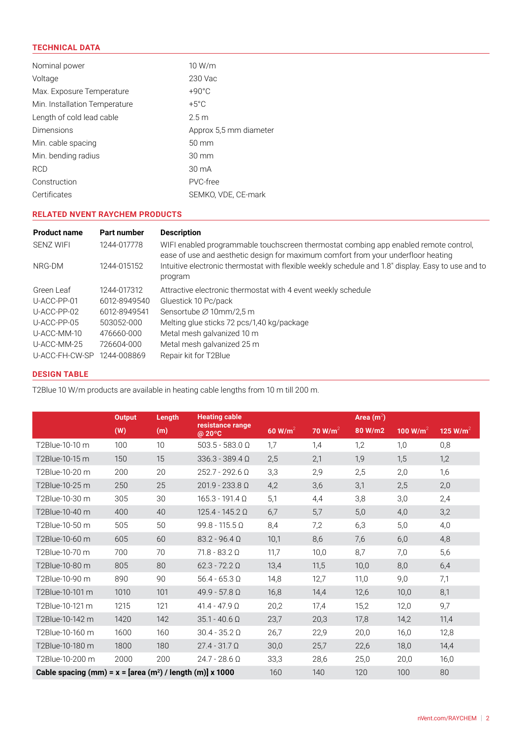# **TECHNICAL DATA**

| Nominal power                 | 10 W/m                 |
|-------------------------------|------------------------|
| Voltage                       | 230 Vac                |
| Max. Exposure Temperature     | $+90^{\circ}$ C        |
| Min. Installation Temperature | $+5^{\circ}$ C         |
| Length of cold lead cable     | 2.5 <sub>m</sub>       |
| <b>Dimensions</b>             | Approx 5.5 mm diameter |
| Min. cable spacing            | $50 \text{ mm}$        |
| Min. bending radius           | $30 \text{ mm}$        |
| <b>RCD</b>                    | $30 \text{ mA}$        |
| Construction                  | PVC-free               |
| Certificates                  | SEMKO, VDE, CE-mark    |

# **RELATED NVENT RAYCHEM PRODUCTS**

| <b>Product name</b> | <b>Part number</b> | <b>Description</b>                                                                                                                                                        |
|---------------------|--------------------|---------------------------------------------------------------------------------------------------------------------------------------------------------------------------|
| <b>SENZ WIFI</b>    | 1244-017778        | WIFI enabled programmable touchscreen thermostat combing app enabled remote control,<br>ease of use and aesthetic design for maximum comfort from your underfloor heating |
| NRG-DM              | 1244-015152        | Intuitive electronic thermostat with flexible weekly schedule and 1.8" display. Easy to use and to<br>program                                                             |
| Green Leaf          | 1244-017312        | Attractive electronic thermostat with 4 event weekly schedule                                                                                                             |
| $U-ACC-PP-01$       | 6012-8949540       | Gluestick 10 Pc/pack                                                                                                                                                      |
| U-ACC-PP-02         | 6012-8949541       | Sensortube $\varnothing$ 10mm/2.5 m                                                                                                                                       |
| $U-ACC-PP-05$       | 503052-000         | Melting glue sticks 72 pcs/1,40 kg/package                                                                                                                                |
| U-ACC-MM-10         | 476660-000         | Metal mesh galvanized 10 m                                                                                                                                                |
| U-ACC-MM-25         | 726604-000         | Metal mesh galvanized 25 m                                                                                                                                                |
| U-ACC-FH-CW-SP      | 1244-008869        | Repair kit for T2Blue                                                                                                                                                     |

# **DESIGN TABLE**

T2Blue 10 W/m products are available in heating cable lengths from 10 m till 200 m.

|                                                            | <b>Output</b> | Length | <b>Heating cable</b>       |                     |                     | Area $(m^2)$ |                      |                      |
|------------------------------------------------------------|---------------|--------|----------------------------|---------------------|---------------------|--------------|----------------------|----------------------|
|                                                            | (W)           | (m)    | resistance range<br>@ 20°C | 60 W/m <sup>2</sup> | 70 W/m <sup>2</sup> | 80 W/m2      | 100 W/m <sup>2</sup> | 125 W/m <sup>2</sup> |
| T2Blue-10-10 m                                             | 100           | 10     | $503.5 - 583.0$ Q          | 1,7                 | 1,4                 | 1,2          | 1,0                  | 0,8                  |
| T2Blue-10-15 m                                             | 150           | 15     | $336.3 - 389.4 \Omega$     | 2,5                 | 2,1                 | 1,9          | 1,5                  | 1,2                  |
| T2Blue-10-20 m                                             | 200           | 20     | $252.7 - 292.6$ $\Omega$   | 3,3                 | 2,9                 | 2,5          | 2,0                  | 1,6                  |
| T2Blue-10-25 m                                             | 250           | 25     | $201.9 - 233.8 \Omega$     | 4,2                 | 3,6                 | 3,1          | 2,5                  | 2,0                  |
| T2Blue-10-30 m                                             | 305           | 30     | $165.3 - 191.4 \Omega$     | 5,1                 | 4,4                 | 3,8          | 3,0                  | 2,4                  |
| T2Blue-10-40 m                                             | 400           | 40     | $125.4 - 145.2$ $\Omega$   | 6,7                 | 5,7                 | 5,0          | 4,0                  | 3,2                  |
| T2Blue-10-50 m                                             | 505           | 50     | $99.8 - 115.5 \Omega$      | 8,4                 | 7,2                 | 6,3          | 5,0                  | 4,0                  |
| T2Blue-10-60 m                                             | 605           | 60     | $83.2 - 96.4 \Omega$       | 10,1                | 8,6                 | 7,6          | 6,0                  | 4,8                  |
| T2Blue-10-70 m                                             | 700           | 70     | $71.8 - 83.2 \Omega$       | 11,7                | 10,0                | 8,7          | 7,0                  | 5,6                  |
| T2Blue-10-80 m                                             | 805           | 80     | $62.3 - 72.2$ $\Omega$     | 13,4                | 11,5                | 10,0         | 8,0                  | 6,4                  |
| T2Blue-10-90 m                                             | 890           | 90     | $56.4 - 65.3 \Omega$       | 14,8                | 12,7                | 11,0         | 9,0                  | 7,1                  |
| T2Blue-10-101 m                                            | 1010          | 101    | $49.9 - 57.8$ $\Omega$     | 16,8                | 14,4                | 12,6         | 10,0                 | 8,1                  |
| T2Blue-10-121 m                                            | 1215          | 121    | $41.4 - 47.9 \Omega$       | 20,2                | 17,4                | 15,2         | 12,0                 | 9,7                  |
| T2Blue-10-142 m                                            | 1420          | 142    | $35.1 - 40.6 \Omega$       | 23,7                | 20,3                | 17,8         | 14,2                 | 11,4                 |
| T2Blue-10-160 m                                            | 1600          | 160    | $30.4 - 35.2$ $\Omega$     | 26,7                | 22,9                | 20,0         | 16,0                 | 12,8                 |
| T2Blue-10-180 m                                            | 1800          | 180    | $27.4 - 31.7 \Omega$       | 30,0                | 25,7                | 22,6         | 18,0                 | 14,4                 |
| T2Blue-10-200 m                                            | 2000          | 200    | $24.7 - 28.6 \Omega$       | 33,3                | 28,6                | 25,0         | 20,0                 | 16,0                 |
| Cable spacing (mm) = $x = [area (m2) / length (m)] x 1000$ |               |        |                            | 160                 | 140                 | 120          | 100                  | 80                   |